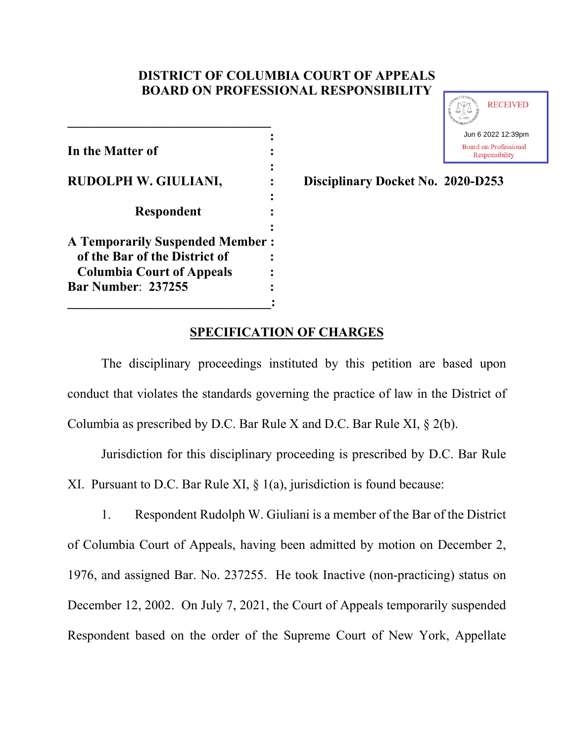# **DISTRICT OF COLUMBIA COURT OF APPEALS BOARD ON PROFESSIONAL RESPONSIBILITY**

| In the Matter of                                              |  |
|---------------------------------------------------------------|--|
| <b>RUDOLPH W. GIULIANI,</b>                                   |  |
| <b>Respondent</b>                                             |  |
| <b>A Temporarily Suspended Member:</b>                        |  |
| of the Bar of the District of                                 |  |
| <b>Columbia Court of Appeals</b><br><b>Bar Number: 237255</b> |  |
|                                                               |  |

**\_\_\_\_\_\_\_\_\_\_\_\_\_\_\_\_\_\_\_\_\_\_\_\_\_\_\_\_\_\_\_**



**Disciplinary Docket No. 2020-D253** 

# **SPECIFICATION OF CHARGES**

The disciplinary proceedings instituted by this petition are based upon conduct that violates the standards governing the practice of law in the District of Columbia as prescribed by D.C. Bar Rule X and D.C. Bar Rule XI, § 2(b).

Jurisdiction for this disciplinary proceeding is prescribed by D.C. Bar Rule XI. Pursuant to D.C. Bar Rule XI, § 1(a), jurisdiction is found because:

1. Respondent Rudolph W. Giuliani is a member of the Bar of the District of Columbia Court of Appeals, having been admitted by motion on December 2, 1976, and assigned Bar. No. 237255. He took Inactive (non-practicing) status on December 12, 2002. On July 7, 2021, the Court of Appeals temporarily suspended Respondent based on the order of the Supreme Court of New York, Appellate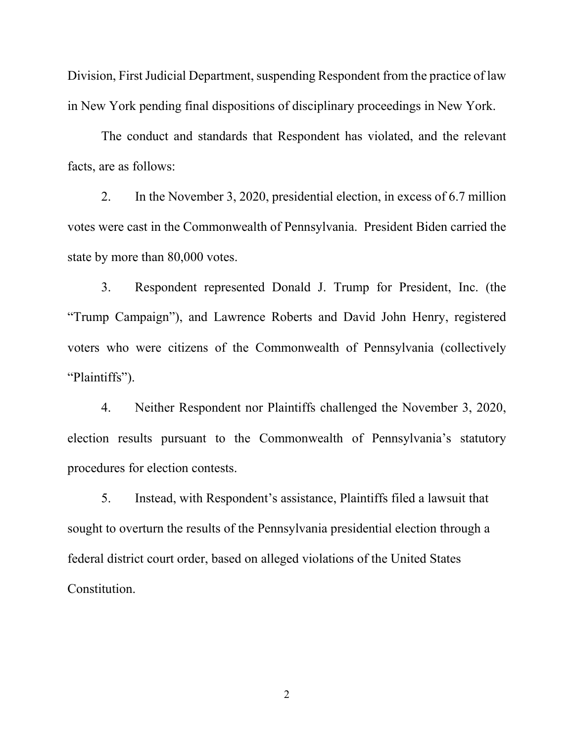Division, First Judicial Department, suspending Respondent from the practice of law in New York pending final dispositions of disciplinary proceedings in New York.

The conduct and standards that Respondent has violated, and the relevant facts, are as follows:

2. In the November 3, 2020, presidential election, in excess of 6.7 million votes were cast in the Commonwealth of Pennsylvania. President Biden carried the state by more than 80,000 votes.

3. Respondent represented Donald J. Trump for President, Inc. (the "Trump Campaign"), and Lawrence Roberts and David John Henry, registered voters who were citizens of the Commonwealth of Pennsylvania (collectively "Plaintiffs").

4. Neither Respondent nor Plaintiffs challenged the November 3, 2020, election results pursuant to the Commonwealth of Pennsylvania's statutory procedures for election contests.

5. Instead, with Respondent's assistance, Plaintiffs filed a lawsuit that sought to overturn the results of the Pennsylvania presidential election through a federal district court order, based on alleged violations of the United States Constitution.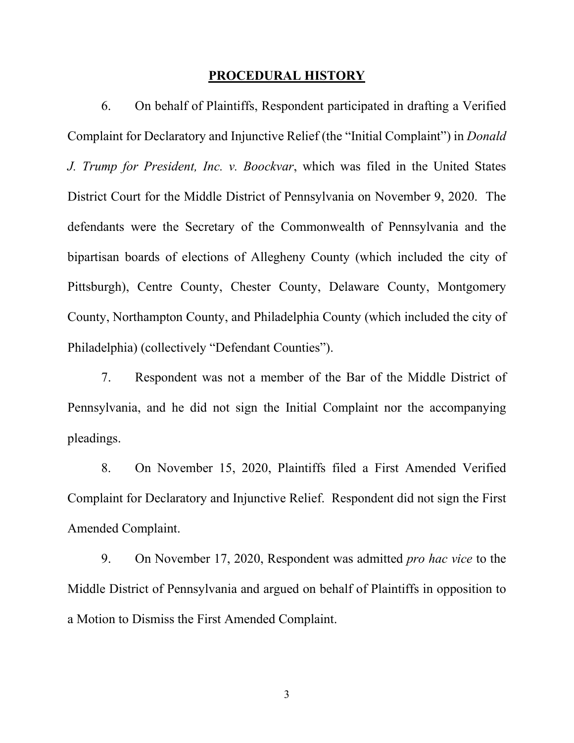#### **PROCEDURAL HISTORY**

6. On behalf of Plaintiffs, Respondent participated in drafting a Verified Complaint for Declaratory and Injunctive Relief (the "Initial Complaint") in *Donald J. Trump for President, Inc. v. Boockvar*, which was filed in the United States District Court for the Middle District of Pennsylvania on November 9, 2020. The defendants were the Secretary of the Commonwealth of Pennsylvania and the bipartisan boards of elections of Allegheny County (which included the city of Pittsburgh), Centre County, Chester County, Delaware County, Montgomery County, Northampton County, and Philadelphia County (which included the city of Philadelphia) (collectively "Defendant Counties").

7. Respondent was not a member of the Bar of the Middle District of Pennsylvania, and he did not sign the Initial Complaint nor the accompanying pleadings.

8. On November 15, 2020, Plaintiffs filed a First Amended Verified Complaint for Declaratory and Injunctive Relief. Respondent did not sign the First Amended Complaint.

9. On November 17, 2020, Respondent was admitted *pro hac vice* to the Middle District of Pennsylvania and argued on behalf of Plaintiffs in opposition to a Motion to Dismiss the First Amended Complaint.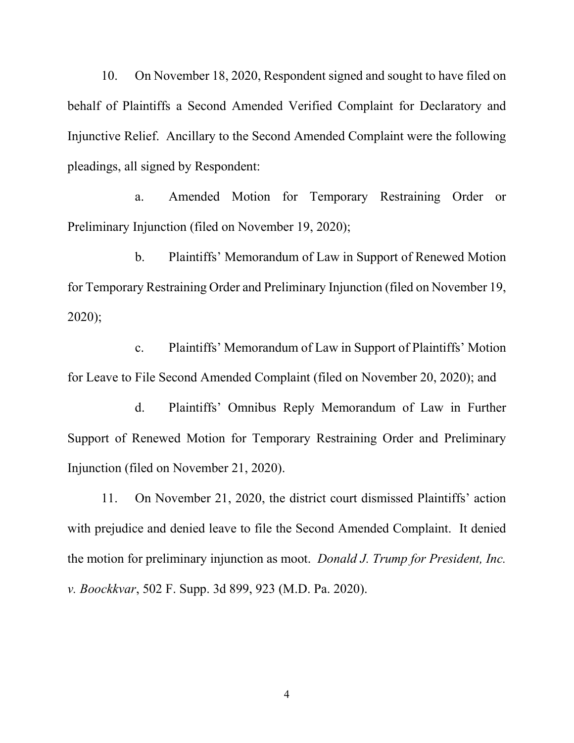10. On November 18, 2020, Respondent signed and sought to have filed on behalf of Plaintiffs a Second Amended Verified Complaint for Declaratory and Injunctive Relief. Ancillary to the Second Amended Complaint were the following pleadings, all signed by Respondent:

a. Amended Motion for Temporary Restraining Order or Preliminary Injunction (filed on November 19, 2020);

b. Plaintiffs' Memorandum of Law in Support of Renewed Motion for Temporary Restraining Order and Preliminary Injunction (filed on November 19, 2020);

c. Plaintiffs' Memorandum of Law in Support of Plaintiffs' Motion for Leave to File Second Amended Complaint (filed on November 20, 2020); and

d. Plaintiffs' Omnibus Reply Memorandum of Law in Further Support of Renewed Motion for Temporary Restraining Order and Preliminary Injunction (filed on November 21, 2020).

11. On November 21, 2020, the district court dismissed Plaintiffs' action with prejudice and denied leave to file the Second Amended Complaint. It denied the motion for preliminary injunction as moot. *Donald J. Trump for President, Inc. v. Boockkvar*, 502 F. Supp. 3d 899, 923 (M.D. Pa. 2020).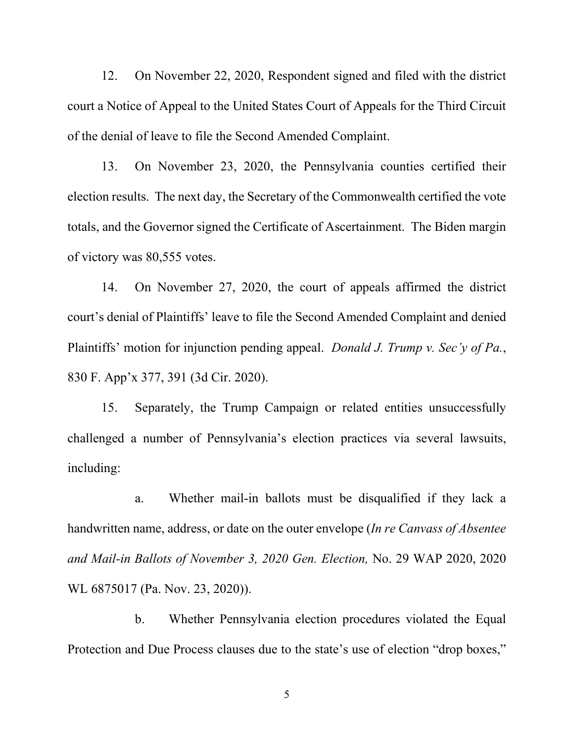12. On November 22, 2020, Respondent signed and filed with the district court a Notice of Appeal to the United States Court of Appeals for the Third Circuit of the denial of leave to file the Second Amended Complaint.

13. On November 23, 2020, the Pennsylvania counties certified their election results. The next day, the Secretary of the Commonwealth certified the vote totals, and the Governor signed the Certificate of Ascertainment. The Biden margin of victory was 80,555 votes.

14. On November 27, 2020, the court of appeals affirmed the district court's denial of Plaintiffs' leave to file the Second Amended Complaint and denied Plaintiffs' motion for injunction pending appeal. *Donald J. Trump v. Sec'y of Pa.*, 830 F. App'x 377, 391 (3d Cir. 2020).

15. Separately, the Trump Campaign or related entities unsuccessfully challenged a number of Pennsylvania's election practices via several lawsuits, including:

a. Whether mail-in ballots must be disqualified if they lack a handwritten name, address, or date on the outer envelope (*In re Canvass of Absentee and Mail-in Ballots of November 3, 2020 Gen. Election,* No. 29 WAP 2020, 2020 WL 6875017 (Pa. Nov. 23, 2020)).

b. Whether Pennsylvania election procedures violated the Equal Protection and Due Process clauses due to the state's use of election "drop boxes,"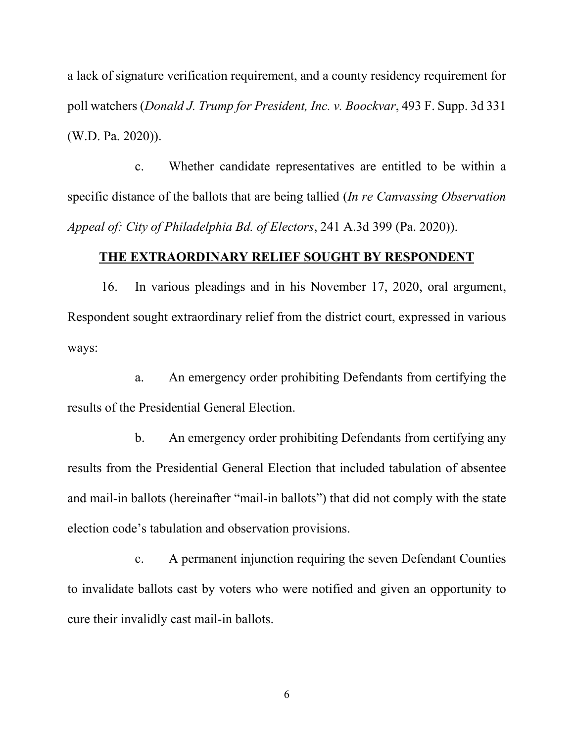a lack of signature verification requirement, and a county residency requirement for poll watchers (*Donald J. Trump for President, Inc. v. Boockvar*, 493 F. Supp. 3d 331 (W.D. Pa. 2020)).

c. Whether candidate representatives are entitled to be within a specific distance of the ballots that are being tallied (*In re Canvassing Observation Appeal of: City of Philadelphia Bd. of Electors*, 241 A.3d 399 (Pa. 2020)).

## **THE EXTRAORDINARY RELIEF SOUGHT BY RESPONDENT**

16. In various pleadings and in his November 17, 2020, oral argument, Respondent sought extraordinary relief from the district court, expressed in various ways:

a. An emergency order prohibiting Defendants from certifying the results of the Presidential General Election.

b. An emergency order prohibiting Defendants from certifying any results from the Presidential General Election that included tabulation of absentee and mail-in ballots (hereinafter "mail-in ballots") that did not comply with the state election code's tabulation and observation provisions.

c. A permanent injunction requiring the seven Defendant Counties to invalidate ballots cast by voters who were notified and given an opportunity to cure their invalidly cast mail-in ballots.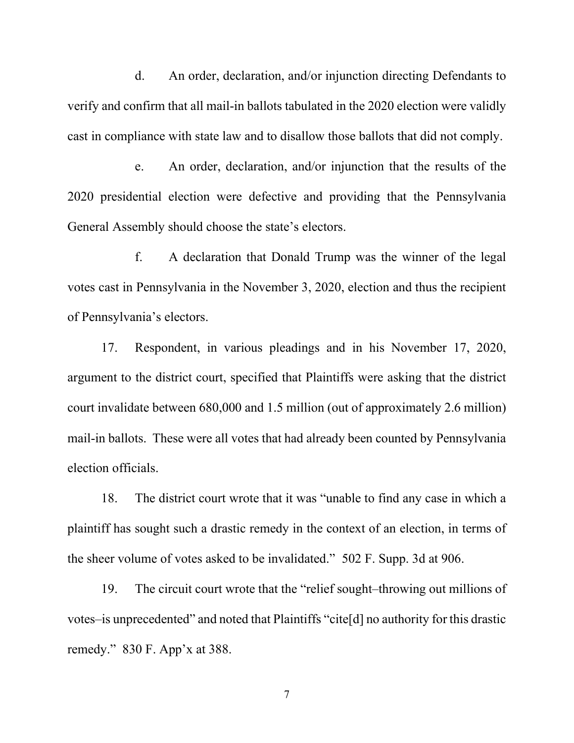d. An order, declaration, and/or injunction directing Defendants to verify and confirm that all mail-in ballots tabulated in the 2020 election were validly cast in compliance with state law and to disallow those ballots that did not comply.

e. An order, declaration, and/or injunction that the results of the 2020 presidential election were defective and providing that the Pennsylvania General Assembly should choose the state's electors.

f. A declaration that Donald Trump was the winner of the legal votes cast in Pennsylvania in the November 3, 2020, election and thus the recipient of Pennsylvania's electors.

17. Respondent, in various pleadings and in his November 17, 2020, argument to the district court, specified that Plaintiffs were asking that the district court invalidate between 680,000 and 1.5 million (out of approximately 2.6 million) mail-in ballots. These were all votes that had already been counted by Pennsylvania election officials.

18. The district court wrote that it was "unable to find any case in which a plaintiff has sought such a drastic remedy in the context of an election, in terms of the sheer volume of votes asked to be invalidated." 502 F. Supp. 3d at 906.

19. The circuit court wrote that the "relief sought–throwing out millions of votes–is unprecedented" and noted that Plaintiffs "cite[d] no authority for this drastic remedy." 830 F. App'x at 388.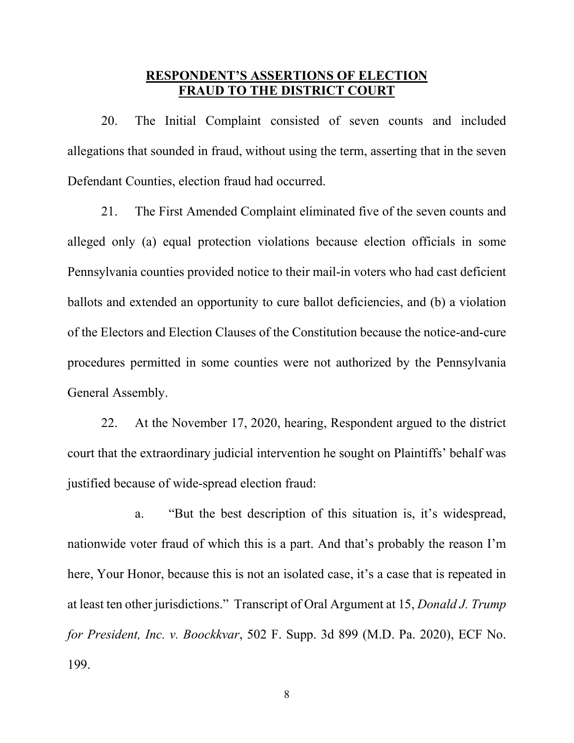# **RESPONDENT'S ASSERTIONS OF ELECTION FRAUD TO THE DISTRICT COURT**

20. The Initial Complaint consisted of seven counts and included allegations that sounded in fraud, without using the term, asserting that in the seven Defendant Counties, election fraud had occurred.

21. The First Amended Complaint eliminated five of the seven counts and alleged only (a) equal protection violations because election officials in some Pennsylvania counties provided notice to their mail-in voters who had cast deficient ballots and extended an opportunity to cure ballot deficiencies, and (b) a violation of the Electors and Election Clauses of the Constitution because the notice-and-cure procedures permitted in some counties were not authorized by the Pennsylvania General Assembly.

22. At the November 17, 2020, hearing, Respondent argued to the district court that the extraordinary judicial intervention he sought on Plaintiffs' behalf was justified because of wide-spread election fraud:

a. "But the best description of this situation is, it's widespread, nationwide voter fraud of which this is a part. And that's probably the reason I'm here, Your Honor, because this is not an isolated case, it's a case that is repeated in at least ten other jurisdictions." Transcript of Oral Argument at 15, *Donald J. Trump for President, Inc. v. Boockkvar*, 502 F. Supp. 3d 899 (M.D. Pa. 2020), ECF No. 199.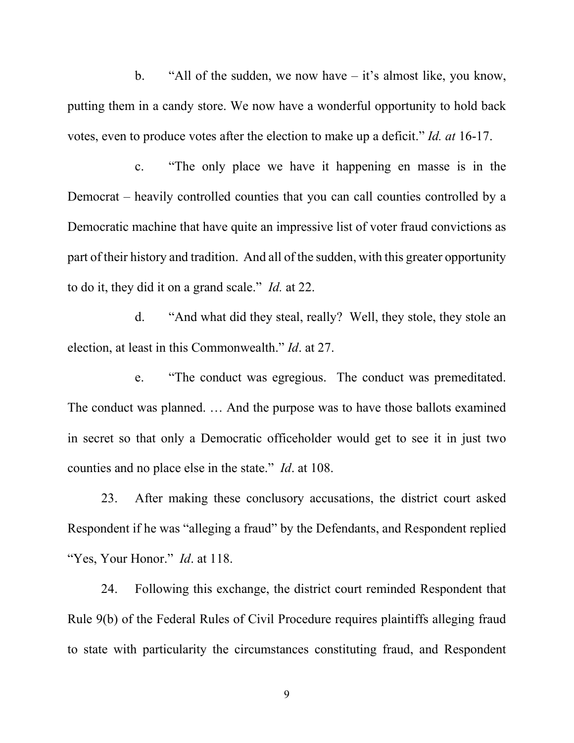b. "All of the sudden, we now have – it's almost like, you know, putting them in a candy store. We now have a wonderful opportunity to hold back votes, even to produce votes after the election to make up a deficit." *Id. at* 16-17.

c. "The only place we have it happening en masse is in the Democrat – heavily controlled counties that you can call counties controlled by a Democratic machine that have quite an impressive list of voter fraud convictions as part of their history and tradition. And all of the sudden, with this greater opportunity to do it, they did it on a grand scale." *Id.* at 22.

d. "And what did they steal, really? Well, they stole, they stole an election, at least in this Commonwealth." *Id*. at 27.

e. "The conduct was egregious. The conduct was premeditated. The conduct was planned. … And the purpose was to have those ballots examined in secret so that only a Democratic officeholder would get to see it in just two counties and no place else in the state." *Id*. at 108.

23. After making these conclusory accusations, the district court asked Respondent if he was "alleging a fraud" by the Defendants, and Respondent replied "Yes, Your Honor." *Id*. at 118.

24. Following this exchange, the district court reminded Respondent that Rule 9(b) of the Federal Rules of Civil Procedure requires plaintiffs alleging fraud to state with particularity the circumstances constituting fraud, and Respondent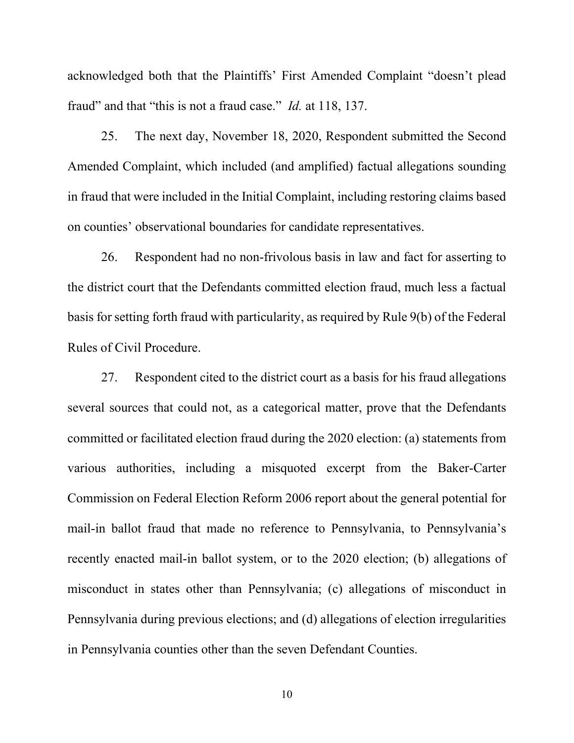acknowledged both that the Plaintiffs' First Amended Complaint "doesn't plead fraud" and that "this is not a fraud case." *Id.* at 118, 137.

25. The next day, November 18, 2020, Respondent submitted the Second Amended Complaint, which included (and amplified) factual allegations sounding in fraud that were included in the Initial Complaint, including restoring claims based on counties' observational boundaries for candidate representatives.

26. Respondent had no non-frivolous basis in law and fact for asserting to the district court that the Defendants committed election fraud, much less a factual basis for setting forth fraud with particularity, as required by Rule 9(b) of the Federal Rules of Civil Procedure.

27. Respondent cited to the district court as a basis for his fraud allegations several sources that could not, as a categorical matter, prove that the Defendants committed or facilitated election fraud during the 2020 election: (a) statements from various authorities, including a misquoted excerpt from the Baker-Carter Commission on Federal Election Reform 2006 report about the general potential for mail-in ballot fraud that made no reference to Pennsylvania, to Pennsylvania's recently enacted mail-in ballot system, or to the 2020 election; (b) allegations of misconduct in states other than Pennsylvania; (c) allegations of misconduct in Pennsylvania during previous elections; and (d) allegations of election irregularities in Pennsylvania counties other than the seven Defendant Counties.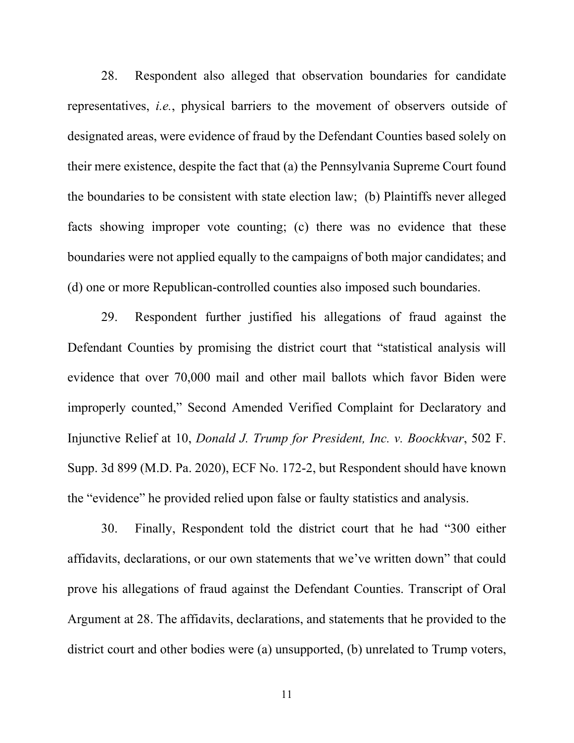28. Respondent also alleged that observation boundaries for candidate representatives, *i.e.*, physical barriers to the movement of observers outside of designated areas, were evidence of fraud by the Defendant Counties based solely on their mere existence, despite the fact that (a) the Pennsylvania Supreme Court found the boundaries to be consistent with state election law; (b) Plaintiffs never alleged facts showing improper vote counting; (c) there was no evidence that these boundaries were not applied equally to the campaigns of both major candidates; and (d) one or more Republican-controlled counties also imposed such boundaries.

29. Respondent further justified his allegations of fraud against the Defendant Counties by promising the district court that "statistical analysis will evidence that over 70,000 mail and other mail ballots which favor Biden were improperly counted," Second Amended Verified Complaint for Declaratory and Injunctive Relief at 10, *Donald J. Trump for President, Inc. v. Boockkvar*, 502 F. Supp. 3d 899 (M.D. Pa. 2020), ECF No. 172-2, but Respondent should have known the "evidence" he provided relied upon false or faulty statistics and analysis.

30. Finally, Respondent told the district court that he had "300 either affidavits, declarations, or our own statements that we've written down" that could prove his allegations of fraud against the Defendant Counties. Transcript of Oral Argument at 28. The affidavits, declarations, and statements that he provided to the district court and other bodies were (a) unsupported, (b) unrelated to Trump voters,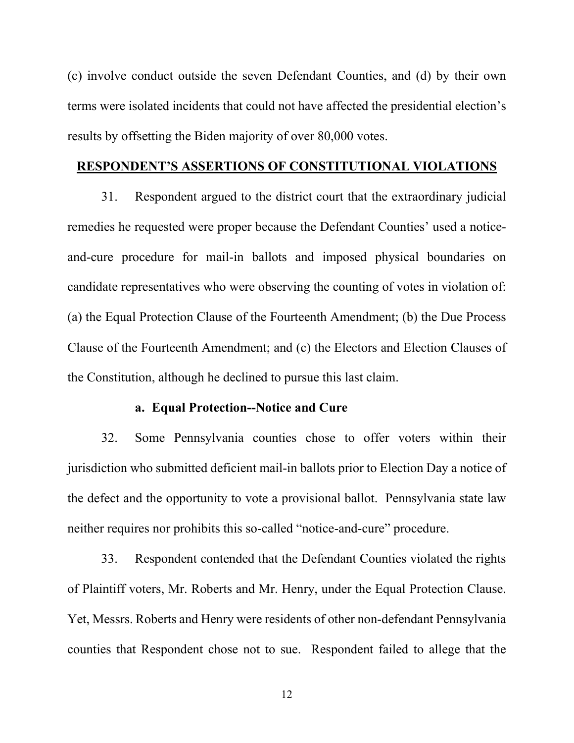(c) involve conduct outside the seven Defendant Counties, and (d) by their own terms were isolated incidents that could not have affected the presidential election's results by offsetting the Biden majority of over 80,000 votes.

## **RESPONDENT'S ASSERTIONS OF CONSTITUTIONAL VIOLATIONS**

31. Respondent argued to the district court that the extraordinary judicial remedies he requested were proper because the Defendant Counties' used a noticeand-cure procedure for mail-in ballots and imposed physical boundaries on candidate representatives who were observing the counting of votes in violation of: (a) the Equal Protection Clause of the Fourteenth Amendment; (b) the Due Process Clause of the Fourteenth Amendment; and (c) the Electors and Election Clauses of the Constitution, although he declined to pursue this last claim.

#### **a. Equal Protection--Notice and Cure**

32. Some Pennsylvania counties chose to offer voters within their jurisdiction who submitted deficient mail-in ballots prior to Election Day a notice of the defect and the opportunity to vote a provisional ballot. Pennsylvania state law neither requires nor prohibits this so-called "notice-and-cure" procedure.

33. Respondent contended that the Defendant Counties violated the rights of Plaintiff voters, Mr. Roberts and Mr. Henry, under the Equal Protection Clause. Yet, Messrs. Roberts and Henry were residents of other non-defendant Pennsylvania counties that Respondent chose not to sue. Respondent failed to allege that the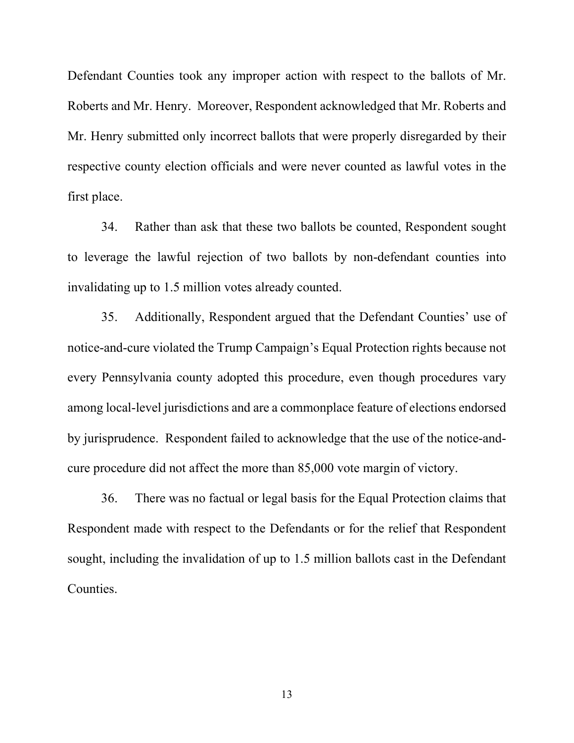Defendant Counties took any improper action with respect to the ballots of Mr. Roberts and Mr. Henry. Moreover, Respondent acknowledged that Mr. Roberts and Mr. Henry submitted only incorrect ballots that were properly disregarded by their respective county election officials and were never counted as lawful votes in the first place.

34. Rather than ask that these two ballots be counted, Respondent sought to leverage the lawful rejection of two ballots by non-defendant counties into invalidating up to 1.5 million votes already counted.

35. Additionally, Respondent argued that the Defendant Counties' use of notice-and-cure violated the Trump Campaign's Equal Protection rights because not every Pennsylvania county adopted this procedure, even though procedures vary among local-level jurisdictions and are a commonplace feature of elections endorsed by jurisprudence. Respondent failed to acknowledge that the use of the notice-andcure procedure did not affect the more than 85,000 vote margin of victory.

36. There was no factual or legal basis for the Equal Protection claims that Respondent made with respect to the Defendants or for the relief that Respondent sought, including the invalidation of up to 1.5 million ballots cast in the Defendant Counties.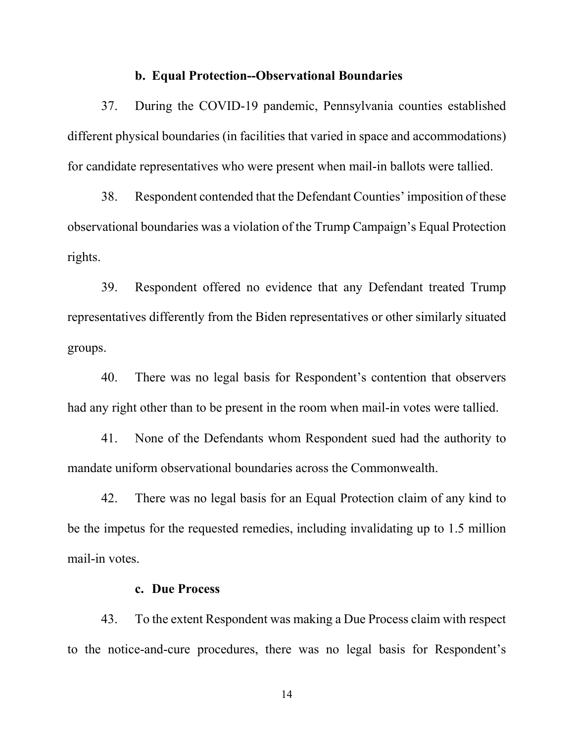#### **b. Equal Protection--Observational Boundaries**

37. During the COVID-19 pandemic, Pennsylvania counties established different physical boundaries (in facilities that varied in space and accommodations) for candidate representatives who were present when mail-in ballots were tallied.

38. Respondent contended that the Defendant Counties' imposition of these observational boundaries was a violation of the Trump Campaign's Equal Protection rights.

39. Respondent offered no evidence that any Defendant treated Trump representatives differently from the Biden representatives or other similarly situated groups.

40. There was no legal basis for Respondent's contention that observers had any right other than to be present in the room when mail-in votes were tallied.

41. None of the Defendants whom Respondent sued had the authority to mandate uniform observational boundaries across the Commonwealth.

42. There was no legal basis for an Equal Protection claim of any kind to be the impetus for the requested remedies, including invalidating up to 1.5 million mail-in votes.

#### **c. Due Process**

43. To the extent Respondent was making a Due Process claim with respect to the notice-and-cure procedures, there was no legal basis for Respondent's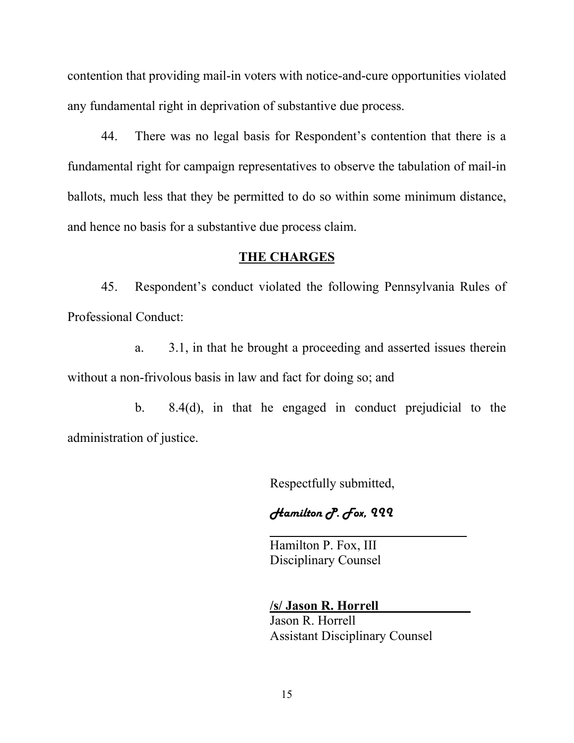contention that providing mail-in voters with notice-and-cure opportunities violated any fundamental right in deprivation of substantive due process.

44. There was no legal basis for Respondent's contention that there is a fundamental right for campaign representatives to observe the tabulation of mail-in ballots, much less that they be permitted to do so within some minimum distance, and hence no basis for a substantive due process claim.

### **THE CHARGES**

45. Respondent's conduct violated the following Pennsylvania Rules of Professional Conduct:

a. 3.1, in that he brought a proceeding and asserted issues therein without a non-frivolous basis in law and fact for doing so; and

b. 8.4(d), in that he engaged in conduct prejudicial to the administration of justice.

Respectfully submitted,

Hamilton P. Fox, 222

Hamilton P. Fox, III Disciplinary Counsel

**/s/ Jason R. Horrell\_\_\_\_\_\_\_\_\_\_\_\_\_\_** Jason R. Horrell Assistant Disciplinary Counsel

**\_\_\_\_\_\_\_\_\_\_\_\_\_\_\_\_\_\_\_\_\_\_\_\_\_\_\_\_\_\_**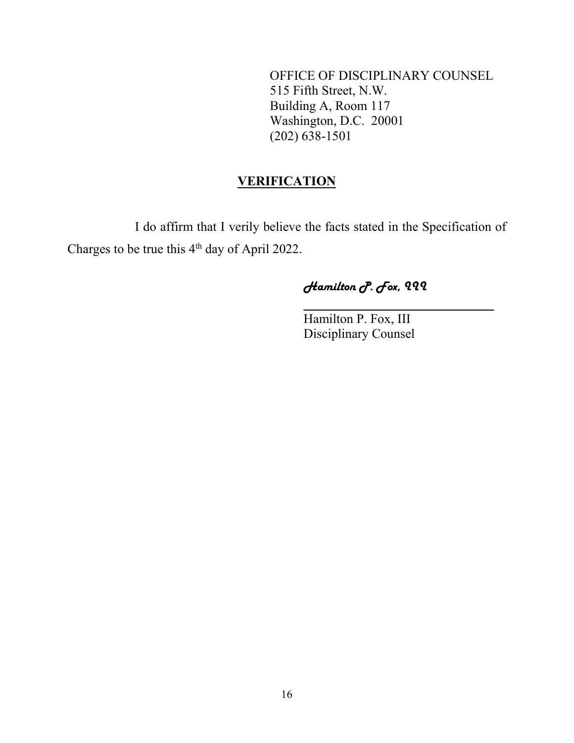OFFICE OF DISCIPLINARY COUNSEL 515 Fifth Street, N.W. Building A, Room 117 Washington, D.C. 20001 (202) 638-1501

## **VERIFICATION**

I do affirm that I verily believe the facts stated in the Specification of Charges to be true this 4<sup>th</sup> day of April 2022.

# Hamilton P. Fox, 222

**\_\_\_\_\_\_\_\_\_\_\_\_\_\_\_\_\_\_\_\_\_\_\_\_\_\_\_\_\_**

Hamilton P. Fox, III Disciplinary Counsel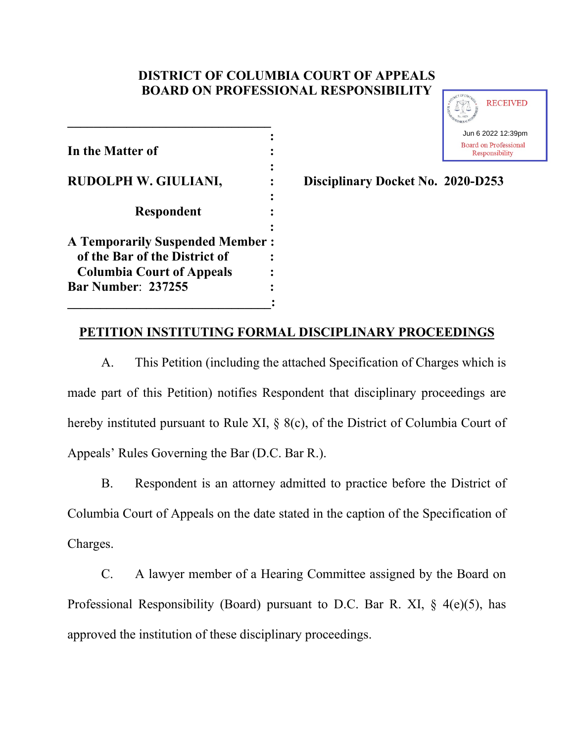# **DISTRICT OF COLUMBIA COURT OF APPEALS BOARD ON PROFESSIONAL RESPONSIBILITY**

| In the Matter of                                                  |  |
|-------------------------------------------------------------------|--|
| RUDOLPH W. GIULIANI,                                              |  |
| <b>Respondent</b>                                                 |  |
| <b>A Temporarily Suspended Member:</b>                            |  |
| of the Bar of the District of<br><b>Columbia Court of Appeals</b> |  |
| <b>Bar Number: 237255</b>                                         |  |
|                                                                   |  |

**\_\_\_\_\_\_\_\_\_\_\_\_\_\_\_\_\_\_\_\_\_\_\_\_\_\_\_\_\_\_\_**



**Disciplinary Docket No. 2020-D253** 

# **PETITION INSTITUTING FORMAL DISCIPLINARY PROCEEDINGS**

A. This Petition (including the attached Specification of Charges which is made part of this Petition) notifies Respondent that disciplinary proceedings are hereby instituted pursuant to Rule XI, § 8(c), of the District of Columbia Court of Appeals' Rules Governing the Bar (D.C. Bar R.).

B. Respondent is an attorney admitted to practice before the District of Columbia Court of Appeals on the date stated in the caption of the Specification of Charges.

C. A lawyer member of a Hearing Committee assigned by the Board on Professional Responsibility (Board) pursuant to D.C. Bar R. XI, § 4(e)(5), has approved the institution of these disciplinary proceedings.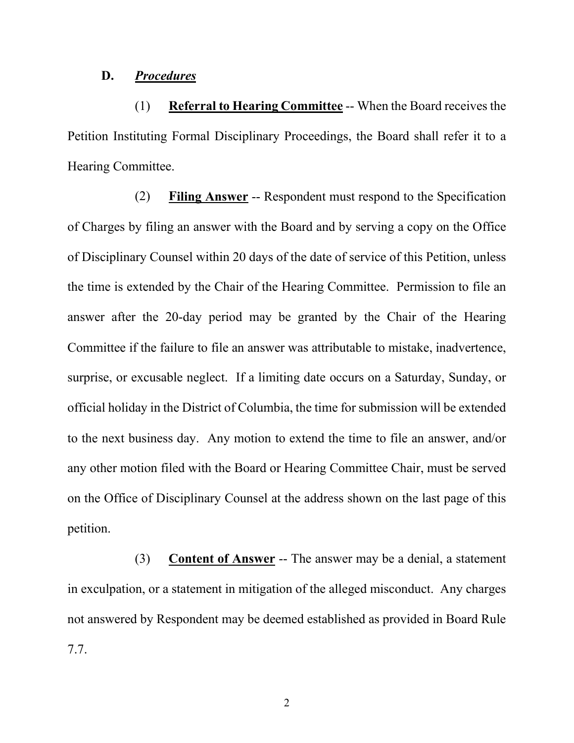## **D.** *Procedures*

(1) **Referral to Hearing Committee** -- When the Board receives the Petition Instituting Formal Disciplinary Proceedings, the Board shall refer it to a Hearing Committee.

(2) **Filing Answer** -- Respondent must respond to the Specification of Charges by filing an answer with the Board and by serving a copy on the Office of Disciplinary Counsel within 20 days of the date of service of this Petition, unless the time is extended by the Chair of the Hearing Committee. Permission to file an answer after the 20-day period may be granted by the Chair of the Hearing Committee if the failure to file an answer was attributable to mistake, inadvertence, surprise, or excusable neglect. If a limiting date occurs on a Saturday, Sunday, or official holiday in the District of Columbia, the time for submission will be extended to the next business day. Any motion to extend the time to file an answer, and/or any other motion filed with the Board or Hearing Committee Chair, must be served on the Office of Disciplinary Counsel at the address shown on the last page of this petition.

(3) **Content of Answer** -- The answer may be a denial, a statement in exculpation, or a statement in mitigation of the alleged misconduct. Any charges not answered by Respondent may be deemed established as provided in Board Rule 7.7.